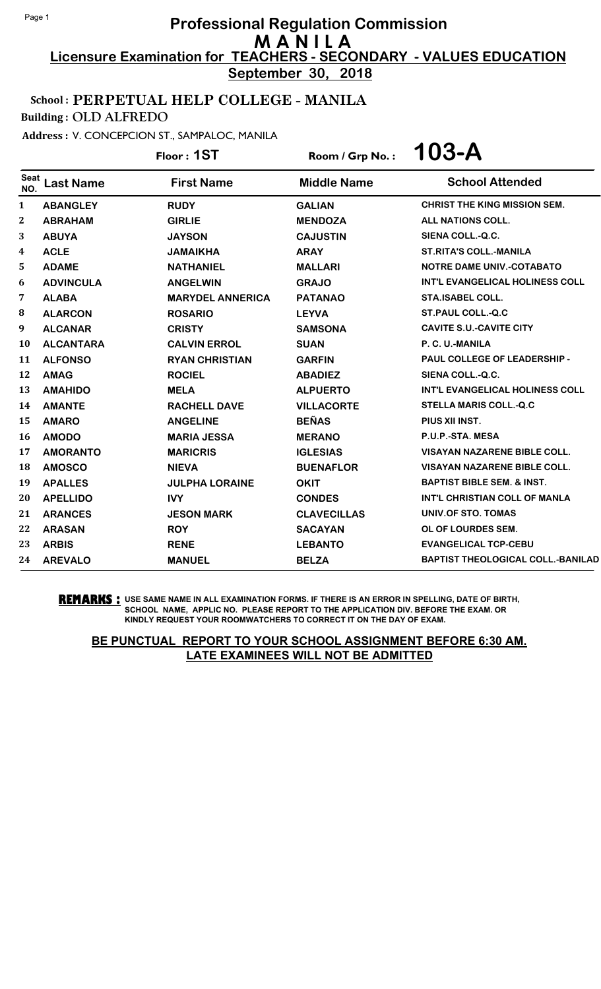**September 30, 2018**

## School : PERPETUAL HELP COLLEGE - MANILA

Building : OLD ALFREDO

Address : V. CONCEPCION ST., SAMPALOC, MANILA

Floor : **1ST** Room / Grp No. : **103-A**

| <b>Seat</b><br>NO. | <b>Last Name</b> | <b>First Name</b>       | <b>Middle Name</b> | <b>School Attended</b>                   |
|--------------------|------------------|-------------------------|--------------------|------------------------------------------|
| 1                  | <b>ABANGLEY</b>  | <b>RUDY</b>             | <b>GALIAN</b>      | <b>CHRIST THE KING MISSION SEM.</b>      |
| $\boldsymbol{2}$   | <b>ABRAHAM</b>   | <b>GIRLIE</b>           | <b>MENDOZA</b>     | <b>ALL NATIONS COLL.</b>                 |
| 3                  | <b>ABUYA</b>     | <b>JAYSON</b>           | <b>CAJUSTIN</b>    | SIENA COLL.-Q.C.                         |
| 4                  | <b>ACLE</b>      | <b>JAMAIKHA</b>         | <b>ARAY</b>        | <b>ST.RITA'S COLL.-MANILA</b>            |
| 5                  | <b>ADAME</b>     | <b>NATHANIEL</b>        | <b>MALLARI</b>     | <b>NOTRE DAME UNIV.-COTABATO</b>         |
| 6                  | <b>ADVINCULA</b> | <b>ANGELWIN</b>         | <b>GRAJO</b>       | INT'L EVANGELICAL HOLINESS COLL          |
| 7                  | <b>ALABA</b>     | <b>MARYDEL ANNERICA</b> | <b>PATANAO</b>     | <b>STA.ISABEL COLL.</b>                  |
| 8                  | <b>ALARCON</b>   | <b>ROSARIO</b>          | <b>LEYVA</b>       | ST.PAUL COLL.-Q.C                        |
| 9                  | <b>ALCANAR</b>   | <b>CRISTY</b>           | <b>SAMSONA</b>     | <b>CAVITE S.U.-CAVITE CITY</b>           |
| <b>10</b>          | <b>ALCANTARA</b> | <b>CALVIN ERROL</b>     | <b>SUAN</b>        | P. C. U.-MANILA                          |
| 11                 | <b>ALFONSO</b>   | <b>RYAN CHRISTIAN</b>   | <b>GARFIN</b>      | <b>PAUL COLLEGE OF LEADERSHIP -</b>      |
| 12                 | <b>AMAG</b>      | <b>ROCIEL</b>           | <b>ABADIEZ</b>     | SIENA COLL.-Q.C.                         |
| 13                 | <b>AMAHIDO</b>   | <b>MELA</b>             | <b>ALPUERTO</b>    | INT'L EVANGELICAL HOLINESS COLL          |
| 14                 | <b>AMANTE</b>    | <b>RACHELL DAVE</b>     | <b>VILLACORTE</b>  | <b>STELLA MARIS COLL.-Q.C</b>            |
| 15                 | <b>AMARO</b>     | <b>ANGELINE</b>         | <b>BEÑAS</b>       | PIUS XII INST.                           |
| 16                 | <b>AMODO</b>     | <b>MARIA JESSA</b>      | <b>MERANO</b>      | P.U.P.-STA. MESA                         |
| 17                 | <b>AMORANTO</b>  | <b>MARICRIS</b>         | <b>IGLESIAS</b>    | <b>VISAYAN NAZARENE BIBLE COLL.</b>      |
| 18                 | <b>AMOSCO</b>    | <b>NIEVA</b>            | <b>BUENAFLOR</b>   | <b>VISAYAN NAZARENE BIBLE COLL.</b>      |
| 19                 | <b>APALLES</b>   | <b>JULPHA LORAINE</b>   | <b>OKIT</b>        | <b>BAPTIST BIBLE SEM. &amp; INST.</b>    |
| 20                 | <b>APELLIDO</b>  | <b>IVY</b>              | <b>CONDES</b>      | INT'L CHRISTIAN COLL OF MANLA            |
| 21                 | <b>ARANCES</b>   | <b>JESON MARK</b>       | <b>CLAVECILLAS</b> | UNIV.OF STO. TOMAS                       |
| 22                 | <b>ARASAN</b>    | <b>ROY</b>              | <b>SACAYAN</b>     | OL OF LOURDES SEM.                       |
| 23                 | <b>ARBIS</b>     | <b>RENE</b>             | <b>LEBANTO</b>     | <b>EVANGELICAL TCP-CEBU</b>              |
| 24                 | <b>AREVALO</b>   | <b>MANUEL</b>           | <b>BELZA</b>       | <b>BAPTIST THEOLOGICAL COLL.-BANILAD</b> |

**REMARKS :** USE SAME NAME IN ALL EXAMINATION FORMS. IF THERE IS AN ERROR IN SPELLING, DATE OF BIRTH, SCHOOL NAME, APPLIC NO. PLEASE REPORT TO THE APPLICATION DIV. BEFORE THE EXAM. OR KINDLY REQUEST YOUR ROOMWATCHERS TO CORRECT IT ON THE DAY OF EXAM.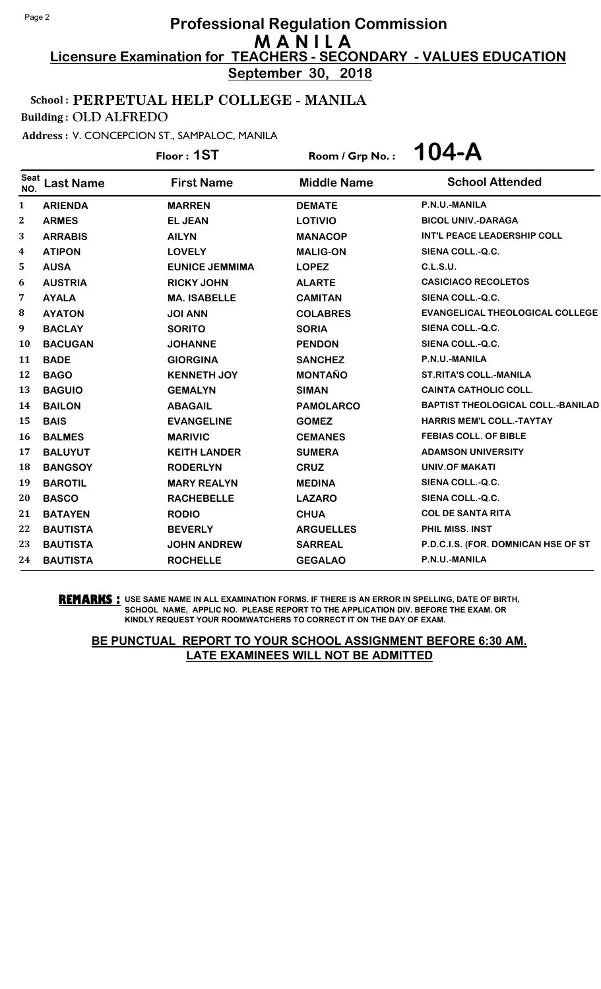**September 30, 2018**

# School : PERPETUAL HELP COLLEGE - MANILA

Building : OLD ALFREDO

Address : V. CONCEPCION ST., SAMPALOC, MANILA

Floor : **1ST** Room / Grp No. : **104-A**

| <b>Seat</b><br>NO. | <b>Last Name</b> | <b>First Name</b>     | <b>Middle Name</b> | <b>School Attended</b>                   |
|--------------------|------------------|-----------------------|--------------------|------------------------------------------|
| $\mathbf{1}$       | <b>ARIENDA</b>   | <b>MARREN</b>         | <b>DEMATE</b>      | P.N.U.-MANILA                            |
| 2                  | <b>ARMES</b>     | <b>EL JEAN</b>        | <b>LOTIVIO</b>     | <b>BICOL UNIV.-DARAGA</b>                |
| 3                  | <b>ARRABIS</b>   | <b>AILYN</b>          | <b>MANACOP</b>     | INT'L PEACE LEADERSHIP COLL              |
| 4                  | <b>ATIPON</b>    | <b>LOVELY</b>         | <b>MALIG-ON</b>    | SIENA COLL.-Q.C.                         |
| 5                  | <b>AUSA</b>      | <b>EUNICE JEMMIMA</b> | <b>LOPEZ</b>       | <b>C.L.S.U.</b>                          |
| 6                  | <b>AUSTRIA</b>   | <b>RICKY JOHN</b>     | <b>ALARTE</b>      | <b>CASICIACO RECOLETOS</b>               |
| 7                  | <b>AYALA</b>     | <b>MA. ISABELLE</b>   | <b>CAMITAN</b>     | SIENA COLL.-Q.C.                         |
| 8                  | <b>AYATON</b>    | <b>JOI ANN</b>        | <b>COLABRES</b>    | <b>EVANGELICAL THEOLOGICAL COLLEGE</b>   |
| 9                  | <b>BACLAY</b>    | <b>SORITO</b>         | <b>SORIA</b>       | SIENA COLL.-Q.C.                         |
| 10                 | <b>BACUGAN</b>   | <b>JOHANNE</b>        | <b>PENDON</b>      | SIENA COLL.-Q.C.                         |
| 11                 | <b>BADE</b>      | <b>GIORGINA</b>       | <b>SANCHEZ</b>     | P.N.U.-MANILA                            |
| 12                 | <b>BAGO</b>      | <b>KENNETH JOY</b>    | <b>MONTAÑO</b>     | <b>ST.RITA'S COLL.-MANILA</b>            |
| 13                 | <b>BAGUIO</b>    | <b>GEMALYN</b>        | <b>SIMAN</b>       | <b>CAINTA CATHOLIC COLL.</b>             |
| 14                 | <b>BAILON</b>    | <b>ABAGAIL</b>        | <b>PAMOLARCO</b>   | <b>BAPTIST THEOLOGICAL COLL.-BANILAD</b> |
| 15                 | <b>BAIS</b>      | <b>EVANGELINE</b>     | <b>GOMEZ</b>       | <b>HARRIS MEM'L COLL.-TAYTAY</b>         |
| 16                 | <b>BALMES</b>    | <b>MARIVIC</b>        | <b>CEMANES</b>     | <b>FEBIAS COLL. OF BIBLE</b>             |
| 17                 | <b>BALUYUT</b>   | <b>KEITH LANDER</b>   | <b>SUMERA</b>      | <b>ADAMSON UNIVERSITY</b>                |
| 18                 | <b>BANGSOY</b>   | <b>RODERLYN</b>       | <b>CRUZ</b>        | <b>UNIV.OF MAKATI</b>                    |
| 19                 | <b>BAROTIL</b>   | <b>MARY REALYN</b>    | <b>MEDINA</b>      | SIENA COLL.-Q.C.                         |
| 20                 | <b>BASCO</b>     | <b>RACHEBELLE</b>     | <b>LAZARO</b>      | SIENA COLL.-Q.C.                         |
| 21                 | <b>BATAYEN</b>   | <b>RODIO</b>          | <b>CHUA</b>        | <b>COL DE SANTA RITA</b>                 |
| 22                 | <b>BAUTISTA</b>  | <b>BEVERLY</b>        | <b>ARGUELLES</b>   | <b>PHIL MISS, INST</b>                   |
| 23                 | <b>BAUTISTA</b>  | <b>JOHN ANDREW</b>    | <b>SARREAL</b>     | P.D.C.I.S. (FOR. DOMNICAN HSE OF ST      |
| 24                 | <b>BAUTISTA</b>  | <b>ROCHELLE</b>       | <b>GEGALAO</b>     | P.N.U.-MANILA                            |

**REMARKS :** USE SAME NAME IN ALL EXAMINATION FORMS. IF THERE IS AN ERROR IN SPELLING, DATE OF BIRTH, SCHOOL NAME, APPLIC NO. PLEASE REPORT TO THE APPLICATION DIV. BEFORE THE EXAM. OR KINDLY REQUEST YOUR ROOMWATCHERS TO CORRECT IT ON THE DAY OF EXAM.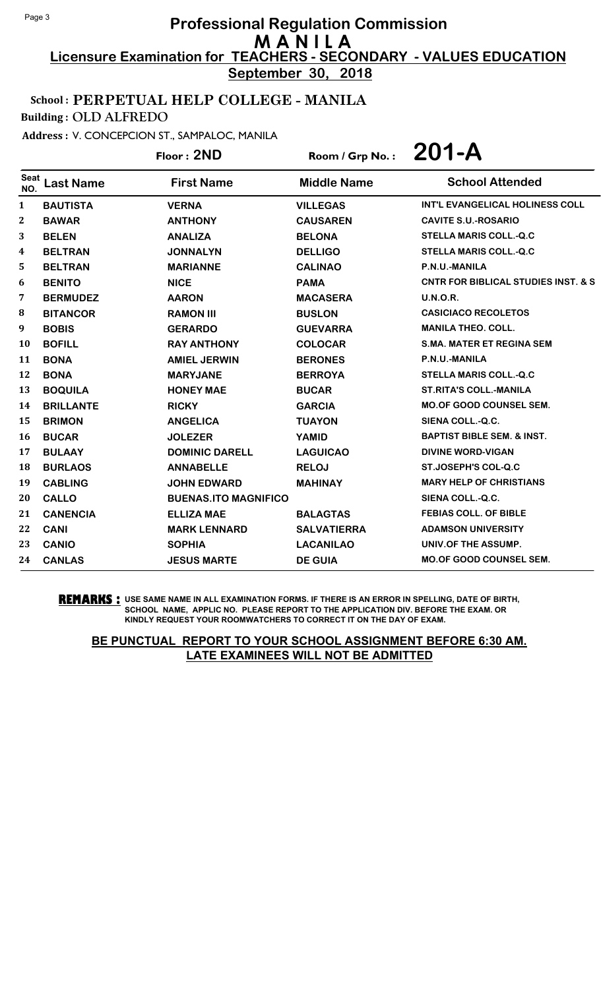**September 30, 2018**

# School : PERPETUAL HELP COLLEGE - MANILA

Building : OLD ALFREDO

Address : V. CONCEPCION ST., SAMPALOC, MANILA

Floor : **2ND** Room / Grp No. : **201-A**

| <b>Seat</b><br>NO. | <b>Last Name</b> | <b>First Name</b>           | <b>Middle Name</b> | <b>School Attended</b>                         |
|--------------------|------------------|-----------------------------|--------------------|------------------------------------------------|
| 1                  | <b>BAUTISTA</b>  | <b>VERNA</b>                | <b>VILLEGAS</b>    | INT'L EVANGELICAL HOLINESS COLL                |
| $\boldsymbol{2}$   | <b>BAWAR</b>     | <b>ANTHONY</b>              | <b>CAUSAREN</b>    | <b>CAVITE S.U.-ROSARIO</b>                     |
| 3                  | <b>BELEN</b>     | <b>ANALIZA</b>              | <b>BELONA</b>      | <b>STELLA MARIS COLL.-Q.C</b>                  |
| 4                  | <b>BELTRAN</b>   | <b>JONNALYN</b>             | <b>DELLIGO</b>     | <b>STELLA MARIS COLL.-Q.C</b>                  |
| 5                  | <b>BELTRAN</b>   | <b>MARIANNE</b>             | <b>CALINAO</b>     | P.N.U.-MANILA                                  |
| 6                  | <b>BENITO</b>    | <b>NICE</b>                 | <b>PAMA</b>        | <b>CNTR FOR BIBLICAL STUDIES INST. &amp; S</b> |
| 7                  | <b>BERMUDEZ</b>  | <b>AARON</b>                | <b>MACASERA</b>    | U.N.O.R.                                       |
| 8                  | <b>BITANCOR</b>  | <b>RAMON III</b>            | <b>BUSLON</b>      | <b>CASICIACO RECOLETOS</b>                     |
| 9                  | <b>BOBIS</b>     | <b>GERARDO</b>              | <b>GUEVARRA</b>    | <b>MANILA THEO, COLL.</b>                      |
| 10                 | <b>BOFILL</b>    | <b>RAY ANTHONY</b>          | <b>COLOCAR</b>     | <b>S.MA. MATER ET REGINA SEM</b>               |
| 11                 | <b>BONA</b>      | <b>AMIEL JERWIN</b>         | <b>BERONES</b>     | P.N.U.-MANILA                                  |
| 12                 | <b>BONA</b>      | <b>MARYJANE</b>             | <b>BERROYA</b>     | <b>STELLA MARIS COLL.-Q.C</b>                  |
| 13                 | <b>BOQUILA</b>   | <b>HONEY MAE</b>            | <b>BUCAR</b>       | <b>ST.RITA'S COLL.-MANILA</b>                  |
| 14                 | <b>BRILLANTE</b> | <b>RICKY</b>                | <b>GARCIA</b>      | <b>MO.OF GOOD COUNSEL SEM.</b>                 |
| 15                 | <b>BRIMON</b>    | <b>ANGELICA</b>             | <b>TUAYON</b>      | SIENA COLL.-Q.C.                               |
| 16                 | <b>BUCAR</b>     | <b>JOLEZER</b>              | <b>YAMID</b>       | <b>BAPTIST BIBLE SEM. &amp; INST.</b>          |
| 17                 | <b>BULAAY</b>    | <b>DOMINIC DARELL</b>       | <b>LAGUICAO</b>    | <b>DIVINE WORD-VIGAN</b>                       |
| 18                 | <b>BURLAOS</b>   | <b>ANNABELLE</b>            | <b>RELOJ</b>       | <b>ST.JOSEPH'S COL-Q.C</b>                     |
| 19                 | <b>CABLING</b>   | <b>JOHN EDWARD</b>          | <b>MAHINAY</b>     | <b>MARY HELP OF CHRISTIANS</b>                 |
| 20                 | <b>CALLO</b>     | <b>BUENAS.ITO MAGNIFICO</b> |                    | SIENA COLL.-Q.C.                               |
| 21                 | <b>CANENCIA</b>  | <b>ELLIZA MAE</b>           | <b>BALAGTAS</b>    | <b>FEBIAS COLL. OF BIBLE</b>                   |
| 22                 | <b>CANI</b>      | <b>MARK LENNARD</b>         | <b>SALVATIERRA</b> | <b>ADAMSON UNIVERSITY</b>                      |
| 23                 | <b>CANIO</b>     | <b>SOPHIA</b>               | <b>LACANILAO</b>   | UNIV.OF THE ASSUMP.                            |
| 24                 | <b>CANLAS</b>    | <b>JESUS MARTE</b>          | <b>DE GUIA</b>     | <b>MO.OF GOOD COUNSEL SEM.</b>                 |

**REMARKS :** USE SAME NAME IN ALL EXAMINATION FORMS. IF THERE IS AN ERROR IN SPELLING, DATE OF BIRTH, SCHOOL NAME, APPLIC NO. PLEASE REPORT TO THE APPLICATION DIV. BEFORE THE EXAM. OR KINDLY REQUEST YOUR ROOMWATCHERS TO CORRECT IT ON THE DAY OF EXAM.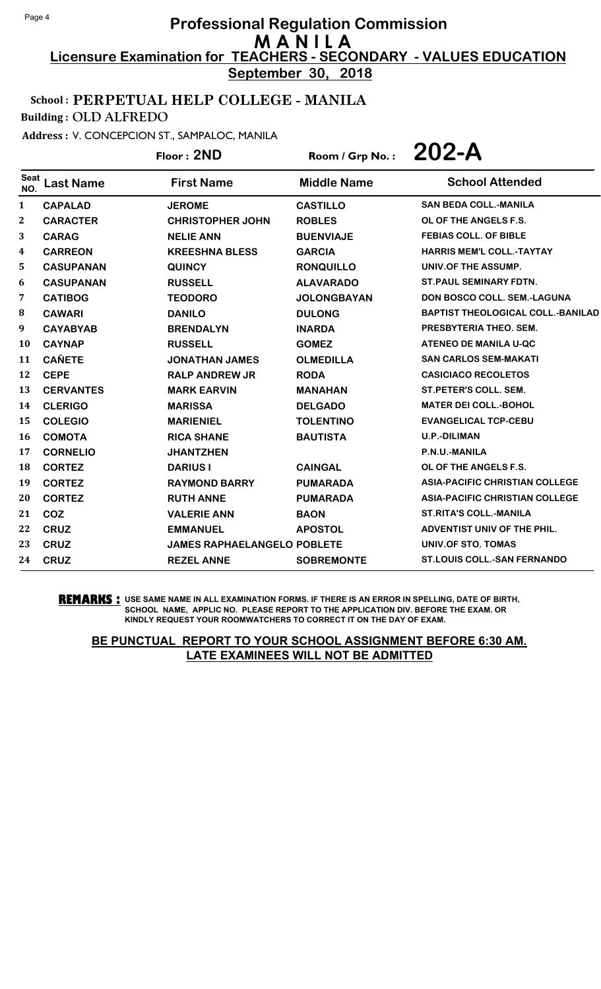**September 30, 2018**

# School : PERPETUAL HELP COLLEGE - MANILA

Building : OLD ALFREDO

Address : V. CONCEPCION ST., SAMPALOC, MANILA

Floor : **2ND** Room / Grp No. : **202-A**

| <b>Seat</b><br>NO. | <b>Last Name</b> | <b>First Name</b>                  | <b>Middle Name</b> | <b>School Attended</b>                   |
|--------------------|------------------|------------------------------------|--------------------|------------------------------------------|
| $\mathbf{1}$       | <b>CAPALAD</b>   | <b>JEROME</b>                      | <b>CASTILLO</b>    | <b>SAN BEDA COLL.-MANILA</b>             |
| $\mathbf{2}$       | <b>CARACTER</b>  | <b>CHRISTOPHER JOHN</b>            | <b>ROBLES</b>      | OL OF THE ANGELS F.S.                    |
| 3                  | <b>CARAG</b>     | <b>NELIE ANN</b>                   | <b>BUENVIAJE</b>   | <b>FEBIAS COLL. OF BIBLE</b>             |
| 4                  | <b>CARREON</b>   | <b>KREESHNA BLESS</b>              | <b>GARCIA</b>      | <b>HARRIS MEM'L COLL.-TAYTAY</b>         |
| 5                  | <b>CASUPANAN</b> | <b>QUINCY</b>                      | <b>RONQUILLO</b>   | UNIV.OF THE ASSUMP.                      |
| 6                  | <b>CASUPANAN</b> | <b>RUSSELL</b>                     | <b>ALAVARADO</b>   | <b>ST. PAUL SEMINARY FDTN.</b>           |
| 7                  | <b>CATIBOG</b>   | <b>TEODORO</b>                     | <b>JOLONGBAYAN</b> | <b>DON BOSCO COLL. SEM.-LAGUNA</b>       |
| 8                  | <b>CAWARI</b>    | <b>DANILO</b>                      | <b>DULONG</b>      | <b>BAPTIST THEOLOGICAL COLL.-BANILAD</b> |
| 9                  | <b>CAYABYAB</b>  | <b>BRENDALYN</b>                   | <b>INARDA</b>      | PRESBYTERIA THEO. SEM.                   |
| 10                 | <b>CAYNAP</b>    | <b>RUSSELL</b>                     | <b>GOMEZ</b>       | <b>ATENEO DE MANILA U-QC</b>             |
| 11                 | <b>CAÑETE</b>    | <b>JONATHAN JAMES</b>              | <b>OLMEDILLA</b>   | <b>SAN CARLOS SEM-MAKATI</b>             |
| 12                 | <b>CEPE</b>      | <b>RALP ANDREW JR</b>              | <b>RODA</b>        | <b>CASICIACO RECOLETOS</b>               |
| 13                 | <b>CERVANTES</b> | <b>MARK EARVIN</b>                 | <b>MANAHAN</b>     | <b>ST.PETER'S COLL. SEM.</b>             |
| 14                 | <b>CLERIGO</b>   | <b>MARISSA</b>                     | <b>DELGADO</b>     | <b>MATER DEI COLL.-BOHOL</b>             |
| 15                 | <b>COLEGIO</b>   | <b>MARIENIEL</b>                   | <b>TOLENTINO</b>   | <b>EVANGELICAL TCP-CEBU</b>              |
| 16                 | <b>COMOTA</b>    | <b>RICA SHANE</b>                  | <b>BAUTISTA</b>    | <b>U.P.-DILIMAN</b>                      |
| 17                 | <b>CORNELIO</b>  | <b>JHANTZHEN</b>                   |                    | P.N.U.-MANILA                            |
| 18                 | <b>CORTEZ</b>    | <b>DARIUS I</b>                    | <b>CAINGAL</b>     | OL OF THE ANGELS F.S.                    |
| 19                 | <b>CORTEZ</b>    | <b>RAYMOND BARRY</b>               | <b>PUMARADA</b>    | <b>ASIA-PACIFIC CHRISTIAN COLLEGE</b>    |
| 20                 | <b>CORTEZ</b>    | <b>RUTH ANNE</b>                   | <b>PUMARADA</b>    | <b>ASIA-PACIFIC CHRISTIAN COLLEGE</b>    |
| 21                 | COZ              | <b>VALERIE ANN</b>                 | <b>BAON</b>        | <b>ST.RITA'S COLL.-MANILA</b>            |
| 22                 | <b>CRUZ</b>      | <b>EMMANUEL</b>                    | <b>APOSTOL</b>     | ADVENTIST UNIV OF THE PHIL.              |
| 23                 | <b>CRUZ</b>      | <b>JAMES RAPHAELANGELO POBLETE</b> |                    | UNIV.OF STO. TOMAS                       |
| 24                 | <b>CRUZ</b>      | <b>REZEL ANNE</b>                  | <b>SOBREMONTE</b>  | <b>ST.LOUIS COLL.-SAN FERNANDO</b>       |

**REMARKS :** USE SAME NAME IN ALL EXAMINATION FORMS. IF THERE IS AN ERROR IN SPELLING, DATE OF BIRTH, SCHOOL NAME, APPLIC NO. PLEASE REPORT TO THE APPLICATION DIV. BEFORE THE EXAM. OR KINDLY REQUEST YOUR ROOMWATCHERS TO CORRECT IT ON THE DAY OF EXAM.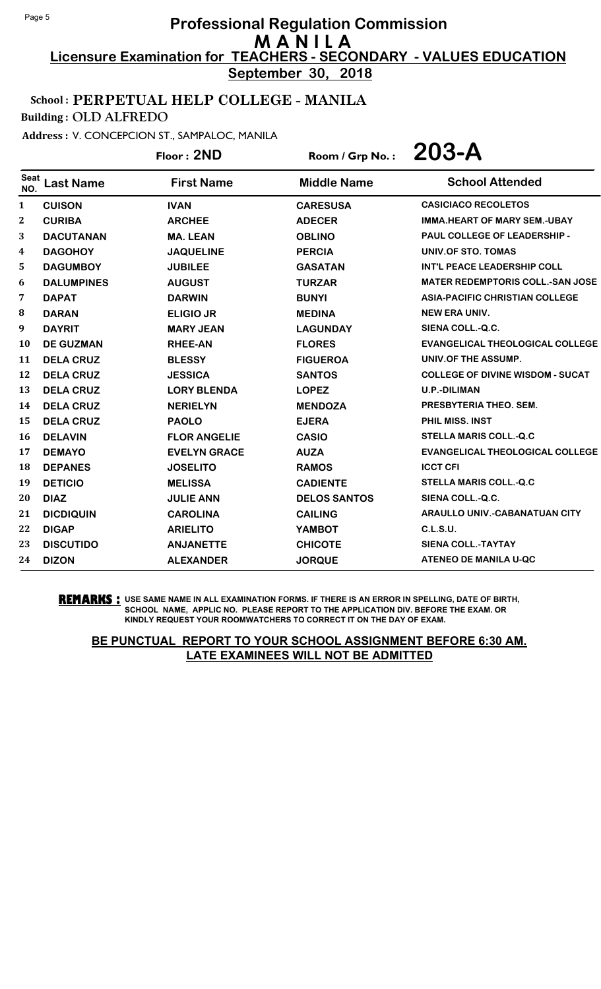**September 30, 2018**

# School : PERPETUAL HELP COLLEGE - MANILA

Building : OLD ALFREDO

Address : V. CONCEPCION ST., SAMPALOC, MANILA

Floor : **2ND** Room / Grp No. : **203-A**

| <b>Seat</b><br>NO. | <b>Last Name</b>  | <b>First Name</b>   | <b>Middle Name</b>  | <b>School Attended</b>                  |
|--------------------|-------------------|---------------------|---------------------|-----------------------------------------|
| 1                  | <b>CUISON</b>     | <b>IVAN</b>         | <b>CARESUSA</b>     | <b>CASICIACO RECOLETOS</b>              |
| $\boldsymbol{2}$   | <b>CURIBA</b>     | <b>ARCHEE</b>       | <b>ADECER</b>       | <b>IMMA.HEART OF MARY SEM.-UBAY</b>     |
| 3                  | <b>DACUTANAN</b>  | <b>MA. LEAN</b>     | <b>OBLINO</b>       | PAUL COLLEGE OF LEADERSHIP -            |
| 4                  | <b>DAGOHOY</b>    | <b>JAQUELINE</b>    | <b>PERCIA</b>       | UNIV.OF STO. TOMAS                      |
| 5                  | <b>DAGUMBOY</b>   | <b>JUBILEE</b>      | <b>GASATAN</b>      | <b>INT'L PEACE LEADERSHIP COLL</b>      |
| 6                  | <b>DALUMPINES</b> | <b>AUGUST</b>       | <b>TURZAR</b>       | <b>MATER REDEMPTORIS COLL.-SAN JOSE</b> |
| 7                  | <b>DAPAT</b>      | <b>DARWIN</b>       | <b>BUNYI</b>        | <b>ASIA-PACIFIC CHRISTIAN COLLEGE</b>   |
| 8                  | <b>DARAN</b>      | <b>ELIGIO JR</b>    | <b>MEDINA</b>       | <b>NEW ERA UNIV.</b>                    |
| 9                  | <b>DAYRIT</b>     | <b>MARY JEAN</b>    | <b>LAGUNDAY</b>     | SIENA COLL.-Q.C.                        |
| 10                 | <b>DE GUZMAN</b>  | <b>RHEE-AN</b>      | <b>FLORES</b>       | <b>EVANGELICAL THEOLOGICAL COLLEGE</b>  |
| 11                 | <b>DELA CRUZ</b>  | <b>BLESSY</b>       | <b>FIGUEROA</b>     | UNIV.OF THE ASSUMP.                     |
| 12                 | <b>DELA CRUZ</b>  | <b>JESSICA</b>      | <b>SANTOS</b>       | <b>COLLEGE OF DIVINE WISDOM - SUCAT</b> |
| 13                 | <b>DELA CRUZ</b>  | <b>LORY BLENDA</b>  | <b>LOPEZ</b>        | <b>U.P.-DILIMAN</b>                     |
| 14                 | <b>DELA CRUZ</b>  | <b>NERIELYN</b>     | <b>MENDOZA</b>      | PRESBYTERIA THEO, SEM.                  |
| 15                 | <b>DELA CRUZ</b>  | <b>PAOLO</b>        | <b>EJERA</b>        | <b>PHIL MISS, INST</b>                  |
| <b>16</b>          | <b>DELAVIN</b>    | <b>FLOR ANGELIE</b> | <b>CASIO</b>        | <b>STELLA MARIS COLL.-Q.C</b>           |
| 17                 | <b>DEMAYO</b>     | <b>EVELYN GRACE</b> | <b>AUZA</b>         | <b>EVANGELICAL THEOLOGICAL COLLEGE</b>  |
| 18                 | <b>DEPANES</b>    | <b>JOSELITO</b>     | <b>RAMOS</b>        | <b>ICCT CFI</b>                         |
| 19                 | <b>DETICIO</b>    | <b>MELISSA</b>      | <b>CADIENTE</b>     | <b>STELLA MARIS COLL.-Q.C</b>           |
| 20                 | <b>DIAZ</b>       | <b>JULIE ANN</b>    | <b>DELOS SANTOS</b> | SIENA COLL.-Q.C.                        |
| 21                 | <b>DICDIQUIN</b>  | <b>CAROLINA</b>     | <b>CAILING</b>      | <b>ARAULLO UNIV.-CABANATUAN CITY</b>    |
| 22                 | <b>DIGAP</b>      | <b>ARIELITO</b>     | <b>YAMBOT</b>       | C.L.S.U.                                |
| 23                 | <b>DISCUTIDO</b>  | <b>ANJANETTE</b>    | <b>CHICOTE</b>      | <b>SIENA COLL.-TAYTAY</b>               |
| 24                 | <b>DIZON</b>      | <b>ALEXANDER</b>    | <b>JORQUE</b>       | <b>ATENEO DE MANILA U-QC</b>            |

**REMARKS :** USE SAME NAME IN ALL EXAMINATION FORMS. IF THERE IS AN ERROR IN SPELLING, DATE OF BIRTH, SCHOOL NAME, APPLIC NO. PLEASE REPORT TO THE APPLICATION DIV. BEFORE THE EXAM. OR KINDLY REQUEST YOUR ROOMWATCHERS TO CORRECT IT ON THE DAY OF EXAM.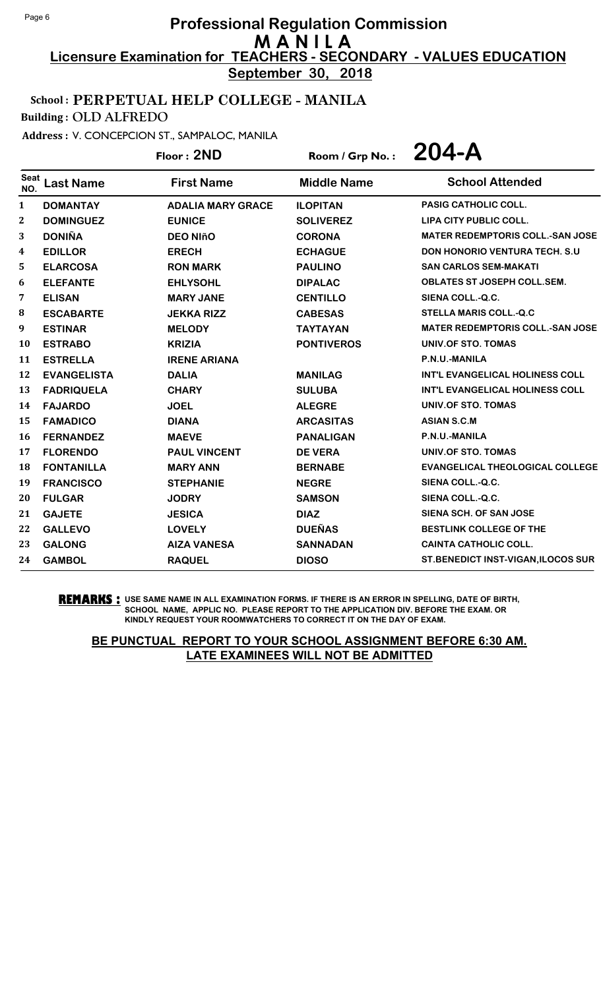**September 30, 2018**

## School : PERPETUAL HELP COLLEGE - MANILA

Building : OLD ALFREDO

Address : V. CONCEPCION ST., SAMPALOC, MANILA

Floor : **2ND** Room / Grp No. : **204-A**

| <b>Seat</b><br>NO. | <b>Last Name</b>   | <b>First Name</b>        | <b>Middle Name</b> | <b>School Attended</b>                  |
|--------------------|--------------------|--------------------------|--------------------|-----------------------------------------|
| 1                  | <b>DOMANTAY</b>    | <b>ADALIA MARY GRACE</b> | <b>ILOPITAN</b>    | PASIG CATHOLIC COLL.                    |
| 2                  | <b>DOMINGUEZ</b>   | <b>EUNICE</b>            | <b>SOLIVEREZ</b>   | <b>LIPA CITY PUBLIC COLL.</b>           |
| 3                  | <b>DONIÑA</b>      | <b>DEO NIñO</b>          | <b>CORONA</b>      | <b>MATER REDEMPTORIS COLL.-SAN JOSE</b> |
| 4                  | <b>EDILLOR</b>     | <b>ERECH</b>             | <b>ECHAGUE</b>     | <b>DON HONORIO VENTURA TECH. S.U.</b>   |
| 5                  | <b>ELARCOSA</b>    | <b>RON MARK</b>          | <b>PAULINO</b>     | <b>SAN CARLOS SEM-MAKATI</b>            |
| 6                  | <b>ELEFANTE</b>    | <b>EHLYSOHL</b>          | <b>DIPALAC</b>     | <b>OBLATES ST JOSEPH COLL.SEM.</b>      |
| 7                  | <b>ELISAN</b>      | <b>MARY JANE</b>         | <b>CENTILLO</b>    | SIENA COLL.-Q.C.                        |
| 8                  | <b>ESCABARTE</b>   | <b>JEKKA RIZZ</b>        | <b>CABESAS</b>     | <b>STELLA MARIS COLL.-Q.C</b>           |
| 9                  | <b>ESTINAR</b>     | <b>MELODY</b>            | <b>TAYTAYAN</b>    | <b>MATER REDEMPTORIS COLL.-SAN JOSE</b> |
| 10                 | <b>ESTRABO</b>     | <b>KRIZIA</b>            | <b>PONTIVEROS</b>  | UNIV.OF STO. TOMAS                      |
| 11                 | <b>ESTRELLA</b>    | <b>IRENE ARIANA</b>      |                    | P.N.U.-MANILA                           |
| 12                 | <b>EVANGELISTA</b> | <b>DALIA</b>             | <b>MANILAG</b>     | <b>INT'L EVANGELICAL HOLINESS COLL</b>  |
| 13                 | <b>FADRIQUELA</b>  | <b>CHARY</b>             | <b>SULUBA</b>      | <b>INT'L EVANGELICAL HOLINESS COLL</b>  |
| 14                 | <b>FAJARDO</b>     | <b>JOEL</b>              | <b>ALEGRE</b>      | UNIV.OF STO. TOMAS                      |
| 15                 | <b>FAMADICO</b>    | <b>DIANA</b>             | <b>ARCASITAS</b>   | <b>ASIAN S.C.M</b>                      |
| 16                 | <b>FERNANDEZ</b>   | <b>MAEVE</b>             | <b>PANALIGAN</b>   | P.N.U.-MANILA                           |
| 17                 | <b>FLORENDO</b>    | <b>PAUL VINCENT</b>      | <b>DE VERA</b>     | UNIV.OF STO. TOMAS                      |
| 18                 | <b>FONTANILLA</b>  | <b>MARY ANN</b>          | <b>BERNABE</b>     | <b>EVANGELICAL THEOLOGICAL COLLEGE</b>  |
| 19                 | <b>FRANCISCO</b>   | <b>STEPHANIE</b>         | <b>NEGRE</b>       | SIENA COLL.-Q.C.                        |
| 20                 | <b>FULGAR</b>      | <b>JODRY</b>             | <b>SAMSON</b>      | SIENA COLL.-Q.C.                        |
| 21                 | <b>GAJETE</b>      | <b>JESICA</b>            | <b>DIAZ</b>        | <b>SIENA SCH. OF SAN JOSE</b>           |
| 22                 | <b>GALLEVO</b>     | <b>LOVELY</b>            | <b>DUEÑAS</b>      | <b>BESTLINK COLLEGE OF THE</b>          |
| 23                 | <b>GALONG</b>      | <b>AIZA VANESA</b>       | <b>SANNADAN</b>    | <b>CAINTA CATHOLIC COLL.</b>            |
| 24                 | <b>GAMBOL</b>      | <b>RAQUEL</b>            | <b>DIOSO</b>       | ST.BENEDICT INST-VIGAN, ILOCOS SUR      |

**REMARKS :** USE SAME NAME IN ALL EXAMINATION FORMS. IF THERE IS AN ERROR IN SPELLING, DATE OF BIRTH, SCHOOL NAME, APPLIC NO. PLEASE REPORT TO THE APPLICATION DIV. BEFORE THE EXAM. OR KINDLY REQUEST YOUR ROOMWATCHERS TO CORRECT IT ON THE DAY OF EXAM.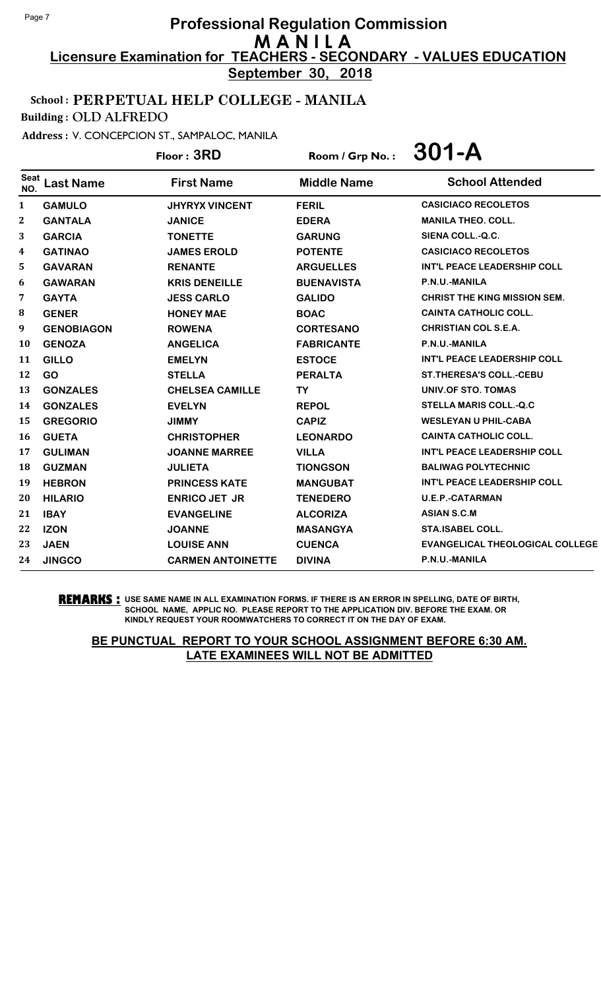**September 30, 2018**

# School : PERPETUAL HELP COLLEGE - MANILA

Building : OLD ALFREDO

Address : V. CONCEPCION ST., SAMPALOC, MANILA

Floor : **3RD** Room / Grp No. : **301-A**

| <b>Seat</b><br>NO. | <b>Last Name</b>  | <b>First Name</b>        | <b>Middle Name</b> | <b>School Attended</b>                 |
|--------------------|-------------------|--------------------------|--------------------|----------------------------------------|
| $\mathbf{1}$       | <b>GAMULO</b>     | <b>JHYRYX VINCENT</b>    | <b>FERIL</b>       | <b>CASICIACO RECOLETOS</b>             |
| $\boldsymbol{2}$   | <b>GANTALA</b>    | <b>JANICE</b>            | <b>EDERA</b>       | <b>MANILA THEO, COLL.</b>              |
| 3                  | <b>GARCIA</b>     | <b>TONETTE</b>           | <b>GARUNG</b>      | SIENA COLL.-Q.C.                       |
| 4                  | <b>GATINAO</b>    | <b>JAMES EROLD</b>       | <b>POTENTE</b>     | <b>CASICIACO RECOLETOS</b>             |
| 5                  | <b>GAVARAN</b>    | <b>RENANTE</b>           | <b>ARGUELLES</b>   | <b>INT'L PEACE LEADERSHIP COLL</b>     |
| 6                  | <b>GAWARAN</b>    | <b>KRIS DENEILLE</b>     | <b>BUENAVISTA</b>  | P.N.U.-MANILA                          |
| 7                  | <b>GAYTA</b>      | <b>JESS CARLO</b>        | <b>GALIDO</b>      | <b>CHRIST THE KING MISSION SEM.</b>    |
| 8                  | <b>GENER</b>      | <b>HONEY MAE</b>         | <b>BOAC</b>        | <b>CAINTA CATHOLIC COLL.</b>           |
| 9                  | <b>GENOBIAGON</b> | <b>ROWENA</b>            | <b>CORTESANO</b>   | <b>CHRISTIAN COL S.E.A.</b>            |
| <b>10</b>          | <b>GENOZA</b>     | <b>ANGELICA</b>          | <b>FABRICANTE</b>  | P.N.U.-MANILA                          |
| 11                 | <b>GILLO</b>      | <b>EMELYN</b>            | <b>ESTOCE</b>      | <b>INT'L PEACE LEADERSHIP COLL</b>     |
| 12                 | <b>GO</b>         | <b>STELLA</b>            | <b>PERALTA</b>     | <b>ST. THERESA'S COLL.-CEBU</b>        |
| 13                 | <b>GONZALES</b>   | <b>CHELSEA CAMILLE</b>   | <b>TY</b>          | <b>UNIV.OF STO. TOMAS</b>              |
| 14                 | <b>GONZALES</b>   | <b>EVELYN</b>            | <b>REPOL</b>       | <b>STELLA MARIS COLL.-Q.C</b>          |
| 15                 | <b>GREGORIO</b>   | <b>JIMMY</b>             | <b>CAPIZ</b>       | <b>WESLEYAN U PHIL-CABA</b>            |
| <b>16</b>          | <b>GUETA</b>      | <b>CHRISTOPHER</b>       | <b>LEONARDO</b>    | <b>CAINTA CATHOLIC COLL.</b>           |
| 17                 | <b>GULIMAN</b>    | <b>JOANNE MARREE</b>     | <b>VILLA</b>       | <b>INT'L PEACE LEADERSHIP COLL</b>     |
| 18                 | <b>GUZMAN</b>     | <b>JULIETA</b>           | <b>TIONGSON</b>    | <b>BALIWAG POLYTECHNIC</b>             |
| 19                 | <b>HEBRON</b>     | <b>PRINCESS KATE</b>     | <b>MANGUBAT</b>    | <b>INT'L PEACE LEADERSHIP COLL</b>     |
| 20                 | <b>HILARIO</b>    | <b>ENRICO JET JR</b>     | <b>TENEDERO</b>    | <b>U.E.P.-CATARMAN</b>                 |
| 21                 | <b>IBAY</b>       | <b>EVANGELINE</b>        | <b>ALCORIZA</b>    | <b>ASIAN S.C.M</b>                     |
| 22                 | <b>IZON</b>       | <b>JOANNE</b>            | <b>MASANGYA</b>    | <b>STA.ISABEL COLL.</b>                |
| 23                 | <b>JAEN</b>       | <b>LOUISE ANN</b>        | <b>CUENCA</b>      | <b>EVANGELICAL THEOLOGICAL COLLEGE</b> |
| 24                 | <b>JINGCO</b>     | <b>CARMEN ANTOINETTE</b> | <b>DIVINA</b>      | P.N.U.-MANILA                          |

**REMARKS :** USE SAME NAME IN ALL EXAMINATION FORMS. IF THERE IS AN ERROR IN SPELLING, DATE OF BIRTH, SCHOOL NAME, APPLIC NO. PLEASE REPORT TO THE APPLICATION DIV. BEFORE THE EXAM. OR KINDLY REQUEST YOUR ROOMWATCHERS TO CORRECT IT ON THE DAY OF EXAM.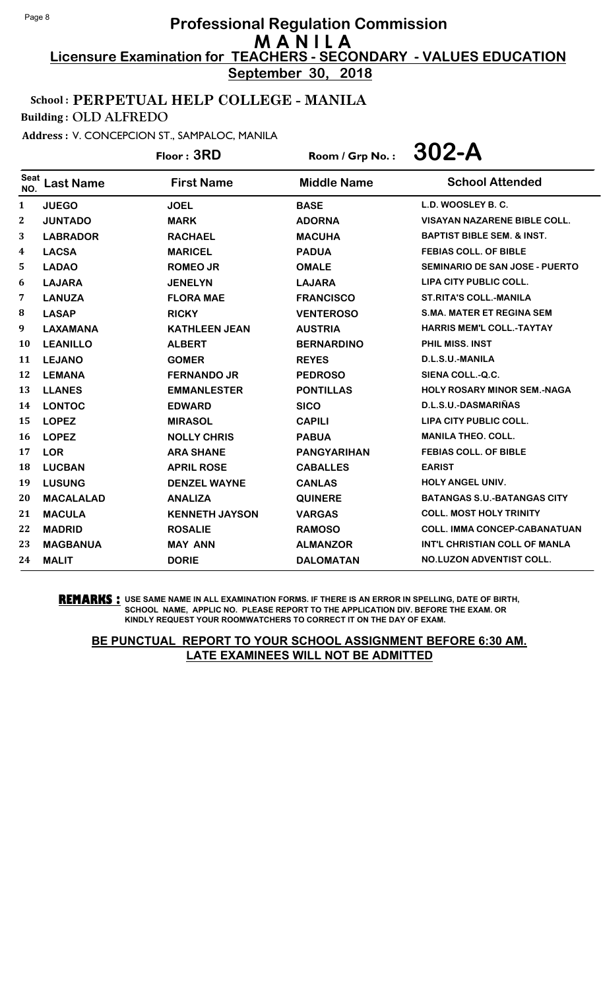**September 30, 2018**

# School : PERPETUAL HELP COLLEGE - MANILA

Building : OLD ALFREDO

Address : V. CONCEPCION ST., SAMPALOC, MANILA

Floor : **3RD** Room / Grp No. : **302-A**

| <b>Seat</b><br>NO. | <b>Last Name</b> | <b>First Name</b>     | <b>Middle Name</b> | <b>School Attended</b>                |
|--------------------|------------------|-----------------------|--------------------|---------------------------------------|
| $\mathbf{1}$       | <b>JUEGO</b>     | <b>JOEL</b>           | <b>BASE</b>        | L.D. WOOSLEY B. C.                    |
| $\bf{2}$           | <b>JUNTADO</b>   | <b>MARK</b>           | <b>ADORNA</b>      | <b>VISAYAN NAZARENE BIBLE COLL.</b>   |
| 3                  | <b>LABRADOR</b>  | <b>RACHAEL</b>        | <b>MACUHA</b>      | <b>BAPTIST BIBLE SEM. &amp; INST.</b> |
| 4                  | <b>LACSA</b>     | <b>MARICEL</b>        | <b>PADUA</b>       | <b>FEBIAS COLL. OF BIBLE</b>          |
| 5                  | <b>LADAO</b>     | <b>ROMEO JR</b>       | <b>OMALE</b>       | <b>SEMINARIO DE SAN JOSE - PUERTO</b> |
| 6                  | <b>LAJARA</b>    | <b>JENELYN</b>        | <b>LAJARA</b>      | LIPA CITY PUBLIC COLL.                |
| 7                  | <b>LANUZA</b>    | <b>FLORA MAE</b>      | <b>FRANCISCO</b>   | <b>ST.RITA'S COLL.-MANILA</b>         |
| 8                  | <b>LASAP</b>     | <b>RICKY</b>          | <b>VENTEROSO</b>   | <b>S.MA. MATER ET REGINA SEM</b>      |
| 9                  | <b>LAXAMANA</b>  | <b>KATHLEEN JEAN</b>  | <b>AUSTRIA</b>     | <b>HARRIS MEM'L COLL.-TAYTAY</b>      |
| 10                 | <b>LEANILLO</b>  | <b>ALBERT</b>         | <b>BERNARDINO</b>  | <b>PHIL MISS, INST</b>                |
| 11                 | <b>LEJANO</b>    | <b>GOMER</b>          | <b>REYES</b>       | D.L.S.U.-MANILA                       |
| 12                 | <b>LEMANA</b>    | <b>FERNANDO JR</b>    | <b>PEDROSO</b>     | SIENA COLL.-Q.C.                      |
| 13                 | <b>LLANES</b>    | <b>EMMANLESTER</b>    | <b>PONTILLAS</b>   | <b>HOLY ROSARY MINOR SEM.-NAGA</b>    |
| 14                 | <b>LONTOC</b>    | <b>EDWARD</b>         | <b>SICO</b>        | D.L.S.U.-DASMARIÑAS                   |
| 15                 | <b>LOPEZ</b>     | <b>MIRASOL</b>        | <b>CAPILI</b>      | LIPA CITY PUBLIC COLL.                |
| 16                 | <b>LOPEZ</b>     | <b>NOLLY CHRIS</b>    | <b>PABUA</b>       | <b>MANILA THEO, COLL.</b>             |
| 17                 | <b>LOR</b>       | <b>ARA SHANE</b>      | <b>PANGYARIHAN</b> | <b>FEBIAS COLL. OF BIBLE</b>          |
| 18                 | <b>LUCBAN</b>    | <b>APRIL ROSE</b>     | <b>CABALLES</b>    | <b>EARIST</b>                         |
| 19                 | <b>LUSUNG</b>    | <b>DENZEL WAYNE</b>   | <b>CANLAS</b>      | <b>HOLY ANGEL UNIV.</b>               |
| 20                 | <b>MACALALAD</b> | <b>ANALIZA</b>        | <b>QUINERE</b>     | <b>BATANGAS S.U.-BATANGAS CITY</b>    |
| 21                 | <b>MACULA</b>    | <b>KENNETH JAYSON</b> | <b>VARGAS</b>      | <b>COLL. MOST HOLY TRINITY</b>        |
| 22                 | <b>MADRID</b>    | <b>ROSALIE</b>        | <b>RAMOSO</b>      | <b>COLL. IMMA CONCEP-CABANATUAN</b>   |
| 23                 | <b>MAGBANUA</b>  | <b>MAY ANN</b>        | <b>ALMANZOR</b>    | INT'L CHRISTIAN COLL OF MANLA         |
| 24                 | <b>MALIT</b>     | <b>DORIE</b>          | <b>DALOMATAN</b>   | <b>NO.LUZON ADVENTIST COLL.</b>       |

**REMARKS :** USE SAME NAME IN ALL EXAMINATION FORMS. IF THERE IS AN ERROR IN SPELLING, DATE OF BIRTH, SCHOOL NAME, APPLIC NO. PLEASE REPORT TO THE APPLICATION DIV. BEFORE THE EXAM. OR KINDLY REQUEST YOUR ROOMWATCHERS TO CORRECT IT ON THE DAY OF EXAM.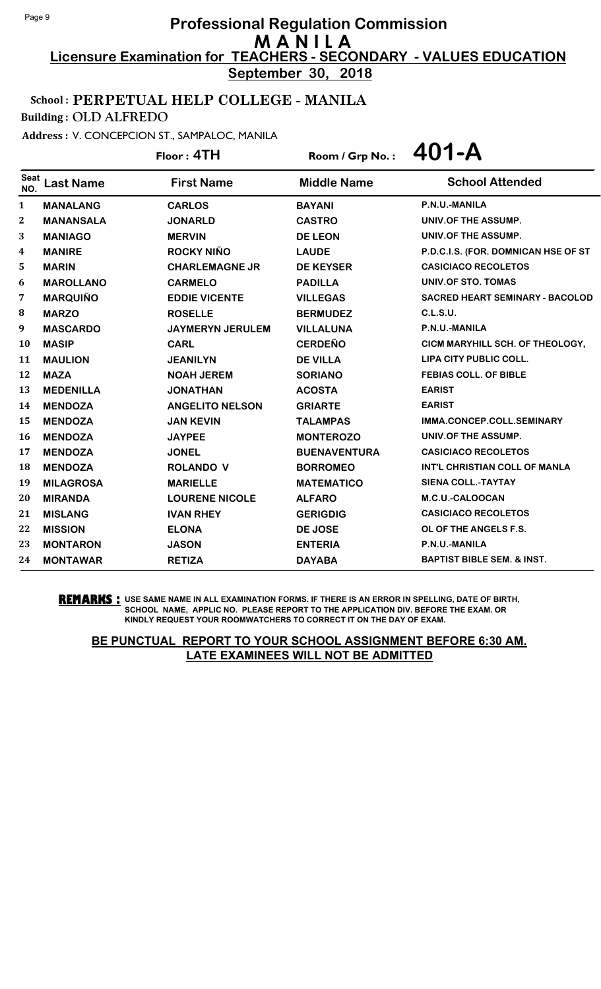**September 30, 2018**

## School : PERPETUAL HELP COLLEGE - MANILA

Building : OLD ALFREDO

Address : V. CONCEPCION ST., SAMPALOC, MANILA

Floor : **4TH** Room / Grp No. : **401-A**

| <b>Seat</b><br>NO. | <b>Last Name</b> | <b>First Name</b>       | <b>Middle Name</b>  | <b>School Attended</b>                 |
|--------------------|------------------|-------------------------|---------------------|----------------------------------------|
| 1                  | <b>MANALANG</b>  | <b>CARLOS</b>           | <b>BAYANI</b>       | P.N.U.-MANILA                          |
| $\boldsymbol{2}$   | <b>MANANSALA</b> | <b>JONARLD</b>          | <b>CASTRO</b>       | UNIV.OF THE ASSUMP.                    |
| 3                  | <b>MANIAGO</b>   | <b>MERVIN</b>           | <b>DE LEON</b>      | UNIV.OF THE ASSUMP.                    |
| 4                  | <b>MANIRE</b>    | <b>ROCKY NIÑO</b>       | <b>LAUDE</b>        | P.D.C.I.S. (FOR. DOMNICAN HSE OF ST    |
| 5                  | <b>MARIN</b>     | <b>CHARLEMAGNE JR</b>   | <b>DE KEYSER</b>    | <b>CASICIACO RECOLETOS</b>             |
| 6                  | <b>MAROLLANO</b> | <b>CARMELO</b>          | <b>PADILLA</b>      | UNIV.OF STO. TOMAS                     |
| 7                  | <b>MARQUIÑO</b>  | <b>EDDIE VICENTE</b>    | <b>VILLEGAS</b>     | <b>SACRED HEART SEMINARY - BACOLOD</b> |
| ${\bf 8}$          | <b>MARZO</b>     | <b>ROSELLE</b>          | <b>BERMUDEZ</b>     | C.L.S.U.                               |
| 9                  | <b>MASCARDO</b>  | <b>JAYMERYN JERULEM</b> | <b>VILLALUNA</b>    | P.N.U.-MANILA                          |
| 10                 | <b>MASIP</b>     | <b>CARL</b>             | <b>CERDEÑO</b>      | CICM MARYHILL SCH. OF THEOLOGY,        |
| 11                 | <b>MAULION</b>   | <b>JEANILYN</b>         | <b>DE VILLA</b>     | LIPA CITY PUBLIC COLL.                 |
| 12                 | <b>MAZA</b>      | <b>NOAH JEREM</b>       | <b>SORIANO</b>      | <b>FEBIAS COLL. OF BIBLE</b>           |
| 13                 | <b>MEDENILLA</b> | <b>JONATHAN</b>         | <b>ACOSTA</b>       | <b>EARIST</b>                          |
| 14                 | <b>MENDOZA</b>   | <b>ANGELITO NELSON</b>  | <b>GRIARTE</b>      | <b>EARIST</b>                          |
| 15                 | <b>MENDOZA</b>   | <b>JAN KEVIN</b>        | <b>TALAMPAS</b>     | IMMA.CONCEP.COLL.SEMINARY              |
| 16                 | <b>MENDOZA</b>   | <b>JAYPEE</b>           | <b>MONTEROZO</b>    | UNIV.OF THE ASSUMP.                    |
| 17                 | <b>MENDOZA</b>   | <b>JONEL</b>            | <b>BUENAVENTURA</b> | <b>CASICIACO RECOLETOS</b>             |
| 18                 | <b>MENDOZA</b>   | <b>ROLANDO V</b>        | <b>BORROMEO</b>     | INT'L CHRISTIAN COLL OF MANLA          |
| 19                 | <b>MILAGROSA</b> | <b>MARIELLE</b>         | <b>MATEMATICO</b>   | <b>SIENA COLL.-TAYTAY</b>              |
| 20                 | <b>MIRANDA</b>   | <b>LOURENE NICOLE</b>   | <b>ALFARO</b>       | M.C.U.-CALOOCAN                        |
| 21                 | <b>MISLANG</b>   | <b>IVAN RHEY</b>        | <b>GERIGDIG</b>     | <b>CASICIACO RECOLETOS</b>             |
| 22                 | <b>MISSION</b>   | <b>ELONA</b>            | DE JOSE             | OL OF THE ANGELS F.S.                  |
| 23                 | <b>MONTARON</b>  | <b>JASON</b>            | <b>ENTERIA</b>      | P.N.U.-MANILA                          |
| 24                 | <b>MONTAWAR</b>  | <b>RETIZA</b>           | <b>DAYABA</b>       | <b>BAPTIST BIBLE SEM. &amp; INST.</b>  |

**REMARKS :** USE SAME NAME IN ALL EXAMINATION FORMS. IF THERE IS AN ERROR IN SPELLING, DATE OF BIRTH, SCHOOL NAME, APPLIC NO. PLEASE REPORT TO THE APPLICATION DIV. BEFORE THE EXAM. OR KINDLY REQUEST YOUR ROOMWATCHERS TO CORRECT IT ON THE DAY OF EXAM.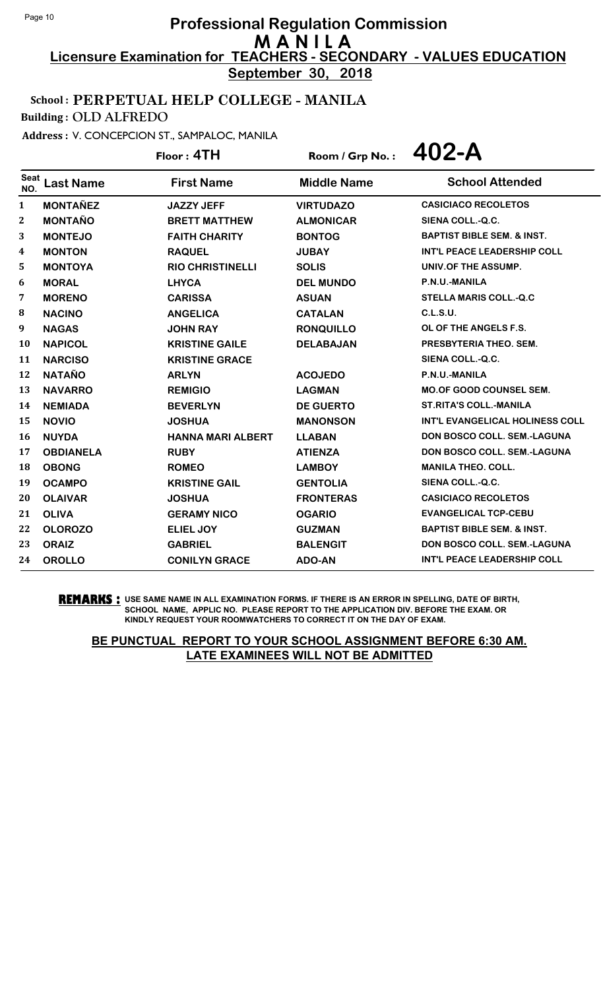**September 30, 2018**

#### School : PERPETUAL HELP COLLEGE - MANILA

Building : OLD ALFREDO

Address : V. CONCEPCION ST., SAMPALOC, MANILA

Floor : **4TH** Room / Grp No. : **402-A**

| <b>Seat</b><br>NO. | <b>Last Name</b> | <b>First Name</b>        | <b>Middle Name</b> | <b>School Attended</b>                 |
|--------------------|------------------|--------------------------|--------------------|----------------------------------------|
| $\mathbf{1}$       | <b>MONTAÑEZ</b>  | <b>JAZZY JEFF</b>        | <b>VIRTUDAZO</b>   | <b>CASICIACO RECOLETOS</b>             |
| 2                  | <b>MONTAÑO</b>   | <b>BRETT MATTHEW</b>     | <b>ALMONICAR</b>   | SIENA COLL.-Q.C.                       |
| 3                  | <b>MONTEJO</b>   | <b>FAITH CHARITY</b>     | <b>BONTOG</b>      | <b>BAPTIST BIBLE SEM. &amp; INST.</b>  |
| 4                  | <b>MONTON</b>    | <b>RAQUEL</b>            | <b>JUBAY</b>       | <b>INT'L PEACE LEADERSHIP COLL</b>     |
| 5                  | <b>MONTOYA</b>   | <b>RIO CHRISTINELLI</b>  | <b>SOLIS</b>       | UNIV.OF THE ASSUMP.                    |
| 6                  | <b>MORAL</b>     | <b>LHYCA</b>             | <b>DEL MUNDO</b>   | P.N.U.-MANILA                          |
| 7                  | <b>MORENO</b>    | <b>CARISSA</b>           | <b>ASUAN</b>       | <b>STELLA MARIS COLL.-Q.C</b>          |
| 8                  | <b>NACINO</b>    | <b>ANGELICA</b>          | <b>CATALAN</b>     | <b>C.L.S.U.</b>                        |
| 9                  | <b>NAGAS</b>     | <b>JOHN RAY</b>          | <b>RONQUILLO</b>   | OL OF THE ANGELS F.S.                  |
| 10                 | <b>NAPICOL</b>   | <b>KRISTINE GAILE</b>    | <b>DELABAJAN</b>   | PRESBYTERIA THEO, SEM.                 |
| 11                 | <b>NARCISO</b>   | <b>KRISTINE GRACE</b>    |                    | SIENA COLL.-Q.C.                       |
| 12                 | <b>NATAÑO</b>    | <b>ARLYN</b>             | <b>ACOJEDO</b>     | P.N.U.-MANILA                          |
| 13                 | <b>NAVARRO</b>   | <b>REMIGIO</b>           | <b>LAGMAN</b>      | <b>MO.OF GOOD COUNSEL SEM.</b>         |
| 14                 | <b>NEMIADA</b>   | <b>BEVERLYN</b>          | <b>DE GUERTO</b>   | <b>ST.RITA'S COLL.-MANILA</b>          |
| 15                 | <b>NOVIO</b>     | <b>JOSHUA</b>            | <b>MANONSON</b>    | <b>INT'L EVANGELICAL HOLINESS COLL</b> |
| 16                 | <b>NUYDA</b>     | <b>HANNA MARI ALBERT</b> | <b>LLABAN</b>      | <b>DON BOSCO COLL, SEM.-LAGUNA</b>     |
| 17                 | <b>OBDIANELA</b> | <b>RUBY</b>              | <b>ATIENZA</b>     | <b>DON BOSCO COLL. SEM.-LAGUNA</b>     |
| 18                 | <b>OBONG</b>     | <b>ROMEO</b>             | <b>LAMBOY</b>      | <b>MANILA THEO. COLL.</b>              |
| 19                 | <b>OCAMPO</b>    | <b>KRISTINE GAIL</b>     | <b>GENTOLIA</b>    | SIENA COLL.-Q.C.                       |
| 20                 | <b>OLAIVAR</b>   | <b>JOSHUA</b>            | <b>FRONTERAS</b>   | <b>CASICIACO RECOLETOS</b>             |
| 21                 | <b>OLIVA</b>     | <b>GERAMY NICO</b>       | <b>OGARIO</b>      | <b>EVANGELICAL TCP-CEBU</b>            |
| 22                 | <b>OLOROZO</b>   | <b>ELIEL JOY</b>         | <b>GUZMAN</b>      | <b>BAPTIST BIBLE SEM. &amp; INST.</b>  |
| 23                 | <b>ORAIZ</b>     | <b>GABRIEL</b>           | <b>BALENGIT</b>    | <b>DON BOSCO COLL. SEM.-LAGUNA</b>     |
| 24                 | <b>OROLLO</b>    | <b>CONILYN GRACE</b>     | <b>ADO-AN</b>      | <b>INT'L PEACE LEADERSHIP COLL</b>     |

**REMARKS :** USE SAME NAME IN ALL EXAMINATION FORMS. IF THERE IS AN ERROR IN SPELLING, DATE OF BIRTH, SCHOOL NAME, APPLIC NO. PLEASE REPORT TO THE APPLICATION DIV. BEFORE THE EXAM. OR KINDLY REQUEST YOUR ROOMWATCHERS TO CORRECT IT ON THE DAY OF EXAM.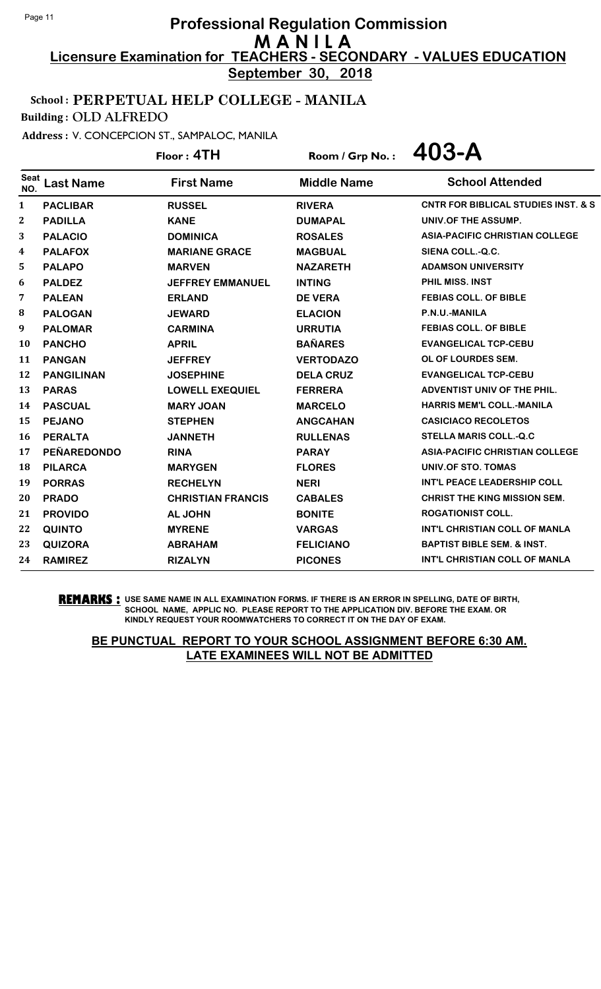**September 30, 2018**

# School : PERPETUAL HELP COLLEGE - MANILA

Building : OLD ALFREDO

Address : V. CONCEPCION ST., SAMPALOC, MANILA

Floor : **4TH** Room / Grp No. : **403-A**

| <b>Seat</b><br>NO. | <b>Last Name</b>   | <b>First Name</b>        | <b>Middle Name</b> | <b>School Attended</b>                         |
|--------------------|--------------------|--------------------------|--------------------|------------------------------------------------|
| 1                  | <b>PACLIBAR</b>    | <b>RUSSEL</b>            | <b>RIVERA</b>      | <b>CNTR FOR BIBLICAL STUDIES INST. &amp; S</b> |
| $\boldsymbol{2}$   | <b>PADILLA</b>     | <b>KANE</b>              | <b>DUMAPAL</b>     | UNIV.OF THE ASSUMP.                            |
| 3                  | <b>PALACIO</b>     | <b>DOMINICA</b>          | <b>ROSALES</b>     | <b>ASIA-PACIFIC CHRISTIAN COLLEGE</b>          |
| 4                  | <b>PALAFOX</b>     | <b>MARIANE GRACE</b>     | <b>MAGBUAL</b>     | SIENA COLL.-Q.C.                               |
| 5                  | <b>PALAPO</b>      | <b>MARVEN</b>            | <b>NAZARETH</b>    | <b>ADAMSON UNIVERSITY</b>                      |
| 6                  | <b>PALDEZ</b>      | <b>JEFFREY EMMANUEL</b>  | <b>INTING</b>      | <b>PHIL MISS, INST</b>                         |
| 7                  | <b>PALEAN</b>      | <b>ERLAND</b>            | <b>DE VERA</b>     | <b>FEBIAS COLL. OF BIBLE</b>                   |
| 8                  | <b>PALOGAN</b>     | <b>JEWARD</b>            | <b>ELACION</b>     | P.N.U.-MANILA                                  |
| 9                  | <b>PALOMAR</b>     | <b>CARMINA</b>           | <b>URRUTIA</b>     | <b>FEBIAS COLL. OF BIBLE</b>                   |
| 10                 | <b>PANCHO</b>      | <b>APRIL</b>             | <b>BAÑARES</b>     | <b>EVANGELICAL TCP-CEBU</b>                    |
| 11                 | <b>PANGAN</b>      | <b>JEFFREY</b>           | <b>VERTODAZO</b>   | OL OF LOURDES SEM.                             |
| 12                 | <b>PANGILINAN</b>  | <b>JOSEPHINE</b>         | <b>DELA CRUZ</b>   | <b>EVANGELICAL TCP-CEBU</b>                    |
| 13                 | <b>PARAS</b>       | <b>LOWELL EXEQUIEL</b>   | <b>FERRERA</b>     | <b>ADVENTIST UNIV OF THE PHIL.</b>             |
| 14                 | <b>PASCUAL</b>     | <b>MARY JOAN</b>         | <b>MARCELO</b>     | <b>HARRIS MEM'L COLL.-MANILA</b>               |
| 15                 | <b>PEJANO</b>      | <b>STEPHEN</b>           | <b>ANGCAHAN</b>    | <b>CASICIACO RECOLETOS</b>                     |
| 16                 | <b>PERALTA</b>     | <b>JANNETH</b>           | <b>RULLENAS</b>    | <b>STELLA MARIS COLL.-Q.C</b>                  |
| 17                 | <b>PEÑAREDONDO</b> | <b>RINA</b>              | <b>PARAY</b>       | <b>ASIA-PACIFIC CHRISTIAN COLLEGE</b>          |
| 18                 | <b>PILARCA</b>     | <b>MARYGEN</b>           | <b>FLORES</b>      | UNIV.OF STO. TOMAS                             |
| 19                 | <b>PORRAS</b>      | <b>RECHELYN</b>          | <b>NERI</b>        | INT'L PEACE LEADERSHIP COLL                    |
| 20                 | <b>PRADO</b>       | <b>CHRISTIAN FRANCIS</b> | <b>CABALES</b>     | <b>CHRIST THE KING MISSION SEM.</b>            |
| 21                 | <b>PROVIDO</b>     | <b>AL JOHN</b>           | <b>BONITE</b>      | <b>ROGATIONIST COLL.</b>                       |
| 22                 | <b>QUINTO</b>      | <b>MYRENE</b>            | <b>VARGAS</b>      | INT'L CHRISTIAN COLL OF MANLA                  |
| 23                 | <b>QUIZORA</b>     | <b>ABRAHAM</b>           | <b>FELICIANO</b>   | <b>BAPTIST BIBLE SEM. &amp; INST.</b>          |
| 24                 | <b>RAMIREZ</b>     | <b>RIZALYN</b>           | <b>PICONES</b>     | INT'L CHRISTIAN COLL OF MANLA                  |

**REMARKS :** USE SAME NAME IN ALL EXAMINATION FORMS. IF THERE IS AN ERROR IN SPELLING, DATE OF BIRTH, SCHOOL NAME, APPLIC NO. PLEASE REPORT TO THE APPLICATION DIV. BEFORE THE EXAM. OR KINDLY REQUEST YOUR ROOMWATCHERS TO CORRECT IT ON THE DAY OF EXAM.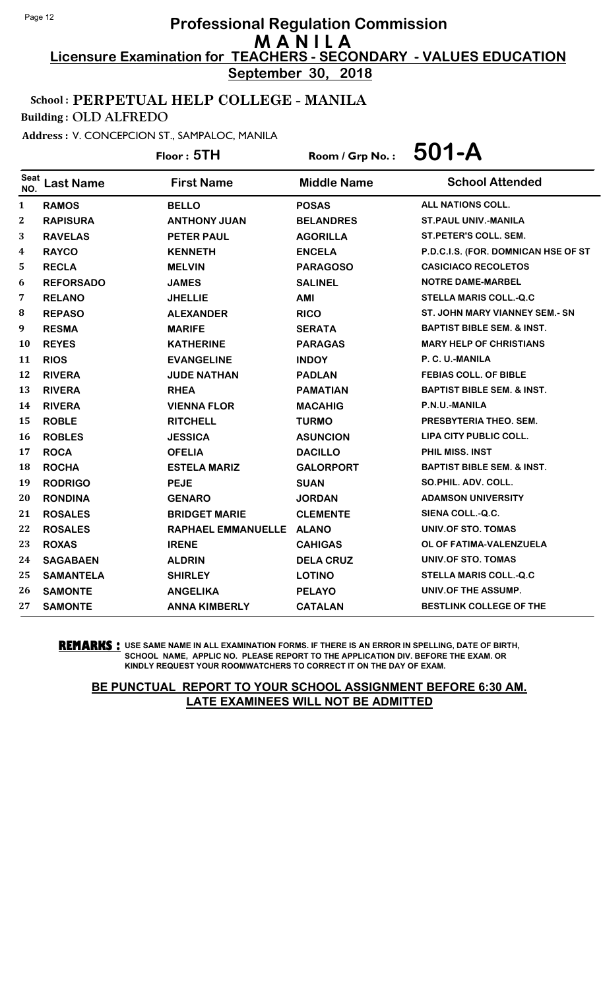**September 30, 2018**

# School : PERPETUAL HELP COLLEGE - MANILA

Building : OLD ALFREDO

Address : V. CONCEPCION ST., SAMPALOC, MANILA

Floor : **5TH** Room / Grp No. : **501-A**

| <b>Seat</b><br>NO. | <b>Last Name</b> | <b>First Name</b>         | <b>Middle Name</b> | <b>School Attended</b>                |
|--------------------|------------------|---------------------------|--------------------|---------------------------------------|
| $\mathbf{1}$       | <b>RAMOS</b>     | <b>BELLO</b>              | <b>POSAS</b>       | ALL NATIONS COLL.                     |
| $\bf{2}$           | <b>RAPISURA</b>  | <b>ANTHONY JUAN</b>       | <b>BELANDRES</b>   | <b>ST.PAUL UNIV.-MANILA</b>           |
| 3                  | <b>RAVELAS</b>   | <b>PETER PAUL</b>         | <b>AGORILLA</b>    | ST.PETER'S COLL. SEM.                 |
| 4                  | <b>RAYCO</b>     | <b>KENNETH</b>            | <b>ENCELA</b>      | P.D.C.I.S. (FOR. DOMNICAN HSE OF ST   |
| 5                  | <b>RECLA</b>     | <b>MELVIN</b>             | <b>PARAGOSO</b>    | <b>CASICIACO RECOLETOS</b>            |
| 6                  | <b>REFORSADO</b> | <b>JAMES</b>              | <b>SALINEL</b>     | <b>NOTRE DAME-MARBEL</b>              |
| 7                  | <b>RELANO</b>    | <b>JHELLIE</b>            | <b>AMI</b>         | <b>STELLA MARIS COLL.-Q.C</b>         |
| 8                  | <b>REPASO</b>    | <b>ALEXANDER</b>          | <b>RICO</b>        | <b>ST. JOHN MARY VIANNEY SEM.- SN</b> |
| 9                  | <b>RESMA</b>     | <b>MARIFE</b>             | <b>SERATA</b>      | <b>BAPTIST BIBLE SEM. &amp; INST.</b> |
| 10                 | <b>REYES</b>     | <b>KATHERINE</b>          | <b>PARAGAS</b>     | <b>MARY HELP OF CHRISTIANS</b>        |
| 11                 | <b>RIOS</b>      | <b>EVANGELINE</b>         | <b>INDOY</b>       | P. C. U.-MANILA                       |
| 12                 | <b>RIVERA</b>    | <b>JUDE NATHAN</b>        | <b>PADLAN</b>      | <b>FEBIAS COLL. OF BIBLE</b>          |
| 13                 | <b>RIVERA</b>    | <b>RHEA</b>               | <b>PAMATIAN</b>    | <b>BAPTIST BIBLE SEM. &amp; INST.</b> |
| 14                 | <b>RIVERA</b>    | <b>VIENNA FLOR</b>        | <b>MACAHIG</b>     | P.N.U.-MANILA                         |
| 15                 | <b>ROBLE</b>     | <b>RITCHELL</b>           | <b>TURMO</b>       | PRESBYTERIA THEO. SEM.                |
| 16                 | <b>ROBLES</b>    | <b>JESSICA</b>            | <b>ASUNCION</b>    | LIPA CITY PUBLIC COLL.                |
| 17                 | <b>ROCA</b>      | <b>OFELIA</b>             | <b>DACILLO</b>     | <b>PHIL MISS, INST</b>                |
| 18                 | <b>ROCHA</b>     | <b>ESTELA MARIZ</b>       | <b>GALORPORT</b>   | <b>BAPTIST BIBLE SEM. &amp; INST.</b> |
| 19                 | <b>RODRIGO</b>   | <b>PEJE</b>               | <b>SUAN</b>        | SO.PHIL. ADV. COLL.                   |
| 20                 | <b>RONDINA</b>   | <b>GENARO</b>             | <b>JORDAN</b>      | <b>ADAMSON UNIVERSITY</b>             |
| 21                 | <b>ROSALES</b>   | <b>BRIDGET MARIE</b>      | <b>CLEMENTE</b>    | SIENA COLL.-Q.C.                      |
| 22                 | <b>ROSALES</b>   | <b>RAPHAEL EMMANUELLE</b> | <b>ALANO</b>       | UNIV.OF STO. TOMAS                    |
| 23                 | <b>ROXAS</b>     | <b>IRENE</b>              | <b>CAHIGAS</b>     | OL OF FATIMA-VALENZUELA               |
| 24                 | <b>SAGABAEN</b>  | <b>ALDRIN</b>             | <b>DELA CRUZ</b>   | UNIV.OF STO. TOMAS                    |
| 25                 | <b>SAMANTELA</b> | <b>SHIRLEY</b>            | <b>LOTINO</b>      | <b>STELLA MARIS COLL.-Q.C</b>         |
| 26                 | <b>SAMONTE</b>   | <b>ANGELIKA</b>           | <b>PELAYO</b>      | UNIV.OF THE ASSUMP.                   |
| 27                 | <b>SAMONTE</b>   | <b>ANNA KIMBERLY</b>      | <b>CATALAN</b>     | <b>BESTLINK COLLEGE OF THE</b>        |

**REMARKS :** USE SAME NAME IN ALL EXAMINATION FORMS. IF THERE IS AN ERROR IN SPELLING, DATE OF BIRTH, SCHOOL NAME, APPLIC NO. PLEASE REPORT TO THE APPLICATION DIV. BEFORE THE EXAM. OR KINDLY REQUEST YOUR ROOMWATCHERS TO CORRECT IT ON THE DAY OF EXAM.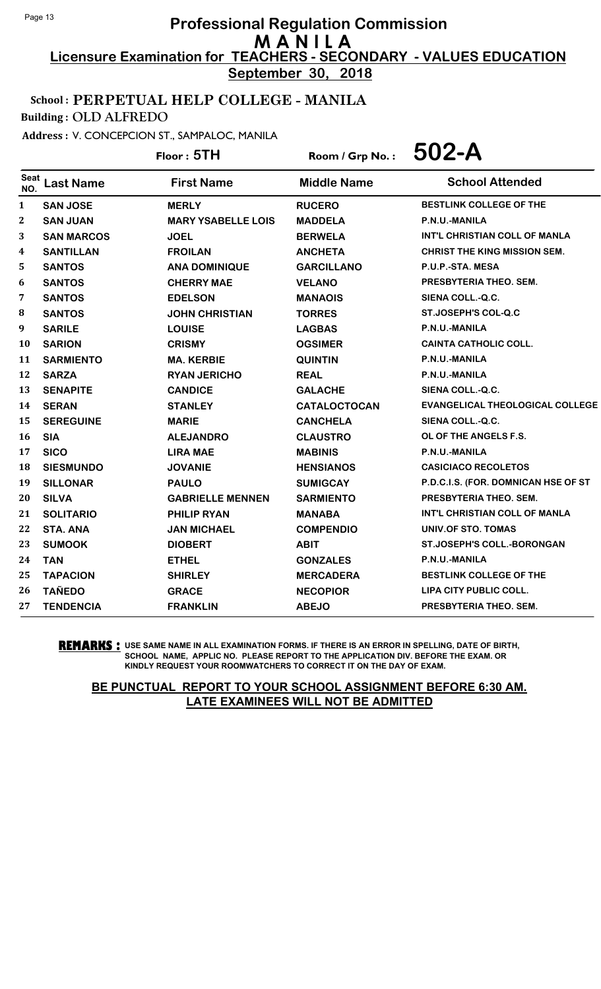**September 30, 2018**

# School : PERPETUAL HELP COLLEGE - MANILA

Building : OLD ALFREDO

Address : V. CONCEPCION ST., SAMPALOC, MANILA

Floor : **5TH** Room / Grp No. : **502-A**

| Seat<br>NO.      | <b>Last Name</b>  | <b>First Name</b>         | <b>Middle Name</b>  | <b>School Attended</b>                 |
|------------------|-------------------|---------------------------|---------------------|----------------------------------------|
| 1                | <b>SAN JOSE</b>   | <b>MERLY</b>              | <b>RUCERO</b>       | <b>BESTLINK COLLEGE OF THE</b>         |
| $\boldsymbol{2}$ | <b>SAN JUAN</b>   | <b>MARY YSABELLE LOIS</b> | <b>MADDELA</b>      | P.N.U.-MANILA                          |
| 3                | <b>SAN MARCOS</b> | <b>JOEL</b>               | <b>BERWELA</b>      | INT'L CHRISTIAN COLL OF MANLA          |
| 4                | <b>SANTILLAN</b>  | <b>FROILAN</b>            | <b>ANCHETA</b>      | <b>CHRIST THE KING MISSION SEM.</b>    |
| 5                | <b>SANTOS</b>     | <b>ANA DOMINIQUE</b>      | <b>GARCILLANO</b>   | P.U.P.-STA. MESA                       |
| 6                | <b>SANTOS</b>     | <b>CHERRY MAE</b>         | <b>VELANO</b>       | PRESBYTERIA THEO, SEM.                 |
| 7                | <b>SANTOS</b>     | <b>EDELSON</b>            | <b>MANAOIS</b>      | SIENA COLL.-Q.C.                       |
| 8                | <b>SANTOS</b>     | <b>JOHN CHRISTIAN</b>     | <b>TORRES</b>       | ST.JOSEPH'S COL-Q.C                    |
| 9                | <b>SARILE</b>     | <b>LOUISE</b>             | <b>LAGBAS</b>       | P.N.U.-MANILA                          |
| 10               | <b>SARION</b>     | <b>CRISMY</b>             | <b>OGSIMER</b>      | <b>CAINTA CATHOLIC COLL.</b>           |
| 11               | <b>SARMIENTO</b>  | <b>MA. KERBIE</b>         | <b>QUINTIN</b>      | P.N.U.-MANILA                          |
| 12               | <b>SARZA</b>      | <b>RYAN JERICHO</b>       | <b>REAL</b>         | P.N.U.-MANILA                          |
| 13               | <b>SENAPITE</b>   | <b>CANDICE</b>            | <b>GALACHE</b>      | SIENA COLL.-Q.C.                       |
| 14               | <b>SERAN</b>      | <b>STANLEY</b>            | <b>CATALOCTOCAN</b> | <b>EVANGELICAL THEOLOGICAL COLLEGE</b> |
| 15               | <b>SEREGUINE</b>  | <b>MARIE</b>              | <b>CANCHELA</b>     | SIENA COLL.-Q.C.                       |
| 16               | <b>SIA</b>        | <b>ALEJANDRO</b>          | <b>CLAUSTRO</b>     | OL OF THE ANGELS F.S.                  |
| 17               | <b>SICO</b>       | <b>LIRA MAE</b>           | <b>MABINIS</b>      | P.N.U.-MANILA                          |
| 18               | <b>SIESMUNDO</b>  | <b>JOVANIE</b>            | <b>HENSIANOS</b>    | <b>CASICIACO RECOLETOS</b>             |
| 19               | <b>SILLONAR</b>   | <b>PAULO</b>              | <b>SUMIGCAY</b>     | P.D.C.I.S. (FOR. DOMNICAN HSE OF ST    |
| 20               | <b>SILVA</b>      | <b>GABRIELLE MENNEN</b>   | <b>SARMIENTO</b>    | PRESBYTERIA THEO. SEM.                 |
| 21               | <b>SOLITARIO</b>  | <b>PHILIP RYAN</b>        | <b>MANABA</b>       | INT'L CHRISTIAN COLL OF MANLA          |
| 22               | <b>STA. ANA</b>   | <b>JAN MICHAEL</b>        | <b>COMPENDIO</b>    | UNIV.OF STO. TOMAS                     |
| 23               | <b>SUMOOK</b>     | <b>DIOBERT</b>            | <b>ABIT</b>         | <b>ST.JOSEPH'S COLL.-BORONGAN</b>      |
| 24               | <b>TAN</b>        | <b>ETHEL</b>              | <b>GONZALES</b>     | P.N.U.-MANILA                          |
| 25               | <b>TAPACION</b>   | <b>SHIRLEY</b>            | <b>MERCADERA</b>    | BESTLINK COLLEGE OF THE                |
| 26               | <b>TAÑEDO</b>     | <b>GRACE</b>              | <b>NECOPIOR</b>     | LIPA CITY PUBLIC COLL.                 |
| 27               | <b>TENDENCIA</b>  | <b>FRANKLIN</b>           | <b>ABEJO</b>        | PRESBYTERIA THEO, SEM.                 |

**REMARKS :** USE SAME NAME IN ALL EXAMINATION FORMS. IF THERE IS AN ERROR IN SPELLING, DATE OF BIRTH, SCHOOL NAME, APPLIC NO. PLEASE REPORT TO THE APPLICATION DIV. BEFORE THE EXAM. OR KINDLY REQUEST YOUR ROOMWATCHERS TO CORRECT IT ON THE DAY OF EXAM.